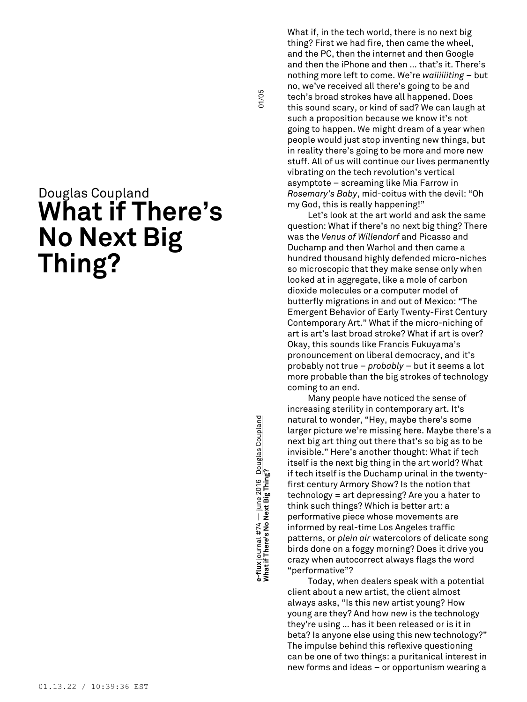## Douglas Coupland **What if There's No Next Big Thing?**

**What if There's No Next Big Thing?** 01/05 e-flux journal #74 — june 2016 <u>Douglas Coupland</u><br>What if There'**s No Next Big Thing? e-flux** journal #74 — june 2016 Douglas Coupland

01/05

What if, in the tech world, there is no next big thing? First we had fire, then came the wheel, and the PC, then the internet and then Google and then the iPhone and then … that's it. There's nothing more left to come. We're *waiiiiiiting* – but no, we've received all there's going to be and tech's broad strokes have all happened. Does this sound scary, or kind of sad? We can laugh at such a proposition because we know it's not going to happen. We might dream of a year when people would just stop inventing new things, but in reality there's going to be more and more new stuff. All of us will continue our lives permanently vibrating on the tech revolution's vertical asymptote – screaming like Mia Farrow in *Rosemary's Baby*, mid-coitus with the devil: "Oh my God, this is really happening!"

Let's look at the art world and ask the same question: What if there's no next big thing? There was the *Venus of Willendorf* and Picasso and Duchamp and then Warhol and then came a hundred thousand highly defended micro-niches so microscopic that they make sense only when looked at in aggregate, like a mole of carbon dioxide molecules or a computer model of butterfly migrations in and out of Mexico: "The Emergent Behavior of Early Twenty-First Century Contemporary Art." What if the micro-niching of art is art's last broad stroke? What if art is over? Okay, this sounds like Francis Fukuyama's pronouncement on liberal democracy, and it's probably not true – *probably* – but it seems a lot more probable than the big strokes of technology coming to an end.

Many people have noticed the sense of increasing sterility in contemporary art. It's natural to wonder, "Hey, maybe there's some larger picture we're missing here. Maybe there's a next big art thing out there that's so big as to be invisible." Here's another thought: What if tech itself is the next big thing in the art world? What if tech itself is the Duchamp urinal in the twentyfirst century Armory Show? Is the notion that technology = art depressing? Are you a hater to think such things? Which is better art: a performative piece whose movements are informed by real-time Los Angeles traffic patterns, or *plein air* watercolors of delicate song birds done on a foggy morning? Does it drive you crazy when autocorrect always flags the word "performative"?

Today, when dealers speak with a potential client about a new artist, the client almost always asks, "Is this new artist young? How young are they? And how new is the technology they're using … has it been released or is it in beta? Is anyone else using this new technology?" The impulse behind this reflexive questioning can be one of two things: a puritanical interest in new forms and ideas – or opportunism wearing a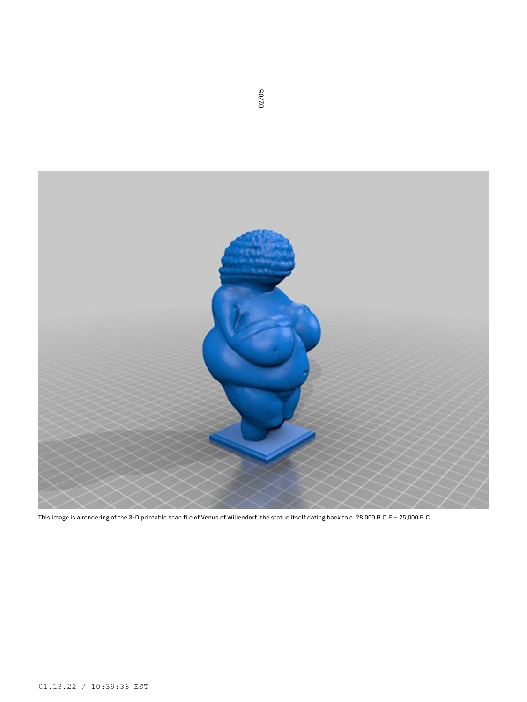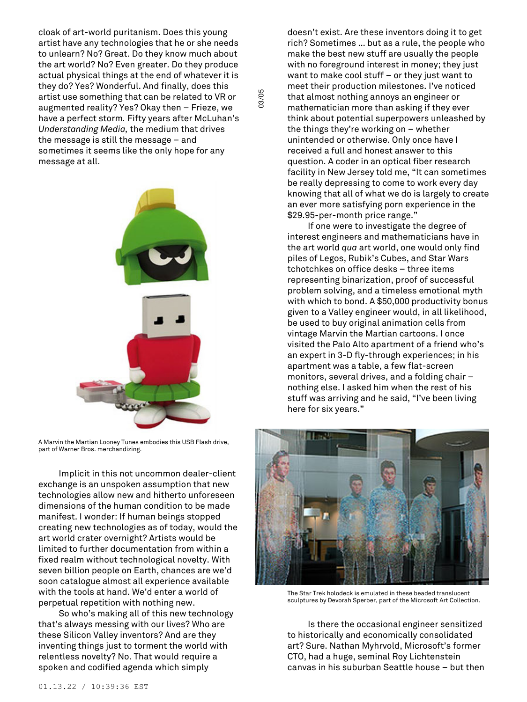cloak of art-world puritanism. Does this young artist have any technologies that he or she needs to unlearn? No? Great. Do they know much about the art world? No? Even greater. Do they produce actual physical things at the end of whatever it is they do? Yes? Wonderful. And finally, does this artist use something that can be related to VR or augmented reality? Yes? Okay then – Frieze, we have a perfect storm*.* Fifty years after McLuhan's *Understanding Media,* the medium that drives the message is still the message – and sometimes it seems like the only hope for any message at all.

03/05



A Marvin the Martian Looney Tunes embodies this USB Flash drive, part of Warner Bros. merchandizing.

Implicit in this not uncommon dealer-client exchange is an unspoken assumption that new technologies allow new and hitherto unforeseen dimensions of the human condition to be made manifest. I wonder: If human beings stopped creating new technologies as of today, would the art world crater overnight? Artists would be limited to further documentation from within a fixed realm without technological novelty. With seven billion people on Earth, chances are we'd soon catalogue almost all experience available with the tools at hand. We'd enter a world of perpetual repetition with nothing new.

So who's making all of this new technology that's always messing with our lives? Who are these Silicon Valley inventors? And are they inventing things just to torment the world with relentless novelty? No. That would require a spoken and codified agenda which simply

doesn't exist. Are these inventors doing it to get rich? Sometimes … but as a rule, the people who make the best new stuff are usually the people with no foreground interest in money; they just want to make cool stuff – or they just want to meet their production milestones. I've noticed that almost nothing annoys an engineer or mathematician more than asking if they ever think about potential superpowers unleashed by the things they're working on – whether unintended or otherwise. Only once have I received a full and honest answer to this question. A coder in an optical fiber research facility in New Jersey told me, "It can sometimes be really depressing to come to work every day knowing that all of what we do is largely to create an ever more satisfying porn experience in the \$29.95-per-month price range."

If one were to investigate the degree of interest engineers and mathematicians have in the art world *qua* art world, one would only find piles of Legos, Rubik's Cubes, and Star Wars tchotchkes on office desks – three items representing binarization, proof of successful problem solving, and a timeless emotional myth with which to bond. A \$50,000 productivity bonus given to a Valley engineer would, in all likelihood, be used to buy original animation cells from vintage Marvin the Martian cartoons. I once visited the Palo Alto apartment of a friend who's an expert in 3-D fly-through experiences; in his apartment was a table, a few flat-screen monitors, several drives, and a folding chair – nothing else. I asked him when the rest of his stuff was arriving and he said, "I've been living here for six years."



The Star Trek holodeck is emulated in these beaded translucent sculptures by Devorah Sperber, part of the Microsoft Art Collection.

Is there the occasional engineer sensitized to historically and economically consolidated art? Sure. Nathan Myhrvold, Microsoft's former CTO, had a huge, seminal Roy Lichtenstein canvas in his suburban Seattle house – but then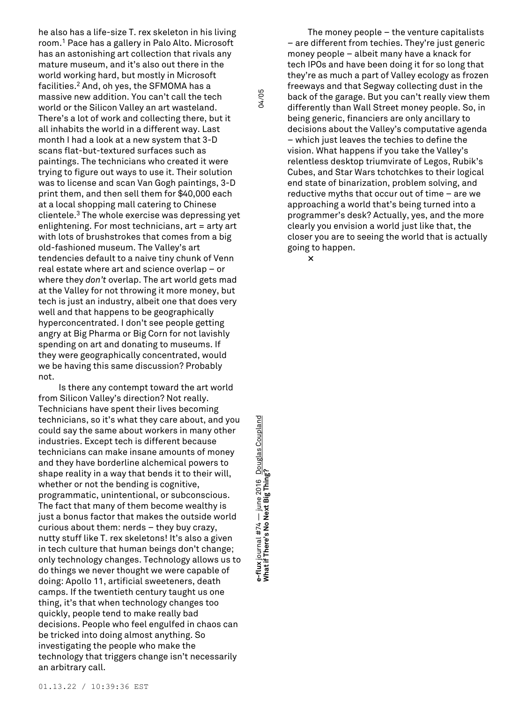he also has a life-size T. rex skeleton in his living room. <sup>1</sup> Pace has a gallery in Palo Alto. Microsoft has an astonishing art collection that rivals any mature museum, and it's also out there in the world working hard, but mostly in Microsoft facilities. <sup>2</sup> And, oh yes, the SFMOMA has a massive new addition. You can't call the tech world or the Silicon Valley an art wasteland. There's a lot of work and collecting there, but it all inhabits the world in a different way. Last month I had a look at a new system that 3-D scans flat-but-textured surfaces such as paintings. The technicians who created it were trying to figure out ways to use it. Their solution was to license and scan Van Gogh paintings, 3-D print them, and then sell them for \$40,000 each at a local shopping mall catering to Chinese clientele. <sup>3</sup> The whole exercise was depressing yet enlightening. For most technicians, art = arty art with lots of brushstrokes that comes from a big old-fashioned museum. The Valley's art tendencies default to a naive tiny chunk of Venn real estate where art and science overlap – or where they *don't* overlap. The art world gets mad at the Valley for not throwing it more money, but tech is just an industry, albeit one that does very well and that happens to be geographically hyperconcentrated. I don't see people getting angry at Big Pharma or Big Corn for not lavishly spending on art and donating to museums. If they were geographically concentrated, would we be having this same discussion? Probably not.

Is there any contempt toward the art world from Silicon Valley's direction? Not really. Technicians have spent their lives becoming technicians, so it's what they care about, and you could say the same about workers in many other industries. Except tech is different because technicians can make insane amounts of money and they have borderline alchemical powers to shape reality in a way that bends it to their will, whether or not the bending is cognitive, programmatic, unintentional, or subconscious. The fact that many of them become wealthy is just a bonus factor that makes the outside world curious about them: nerds – they buy crazy, nutty stuff like T. rex skeletons! It's also a given in tech culture that human beings don't change; only technology changes. Technology allows us to do things we never thought we were capable of doing: Apollo 11, artificial sweeteners, death camps. If the twentieth century taught us one thing, it's that when technology changes too quickly, people tend to make really bad decisions. People who feel engulfed in chaos can be tricked into doing almost anything. So investigating the people who make the technology that triggers change isn't necessarily an arbitrary call.

**What if There's No Next Big Thing?** 04/05 e-flux journal #74 — june 2016 <u>Douglas Coupland</u><br>What if There's No Next Big Thing? **e-flux** journal #74 — june 2016 Douglas Coupland

04/05

The money people – the venture capitalists – are different from techies. They're just generic money people – albeit many have a knack for tech IPOs and have been doing it for so long that they're as much a part of Valley ecology as frozen freeways and that Segway collecting dust in the back of the garage. But you can't really view them differently than Wall Street money people. So, in being generic, financiers are only ancillary to decisions about the Valley's computative agenda – which just leaves the techies to define the vision. What happens if you take the Valley's relentless desktop triumvirate of Legos, Rubik's Cubes, and Star Wars tchotchkes to their logical end state of binarization, problem solving, and reductive myths that occur out of time – are we approaching a world that's being turned into a programmer's desk? Actually, yes, and the more clearly you envision a world just like that, the closer you are to seeing the world that is actually going to happen.

**×**